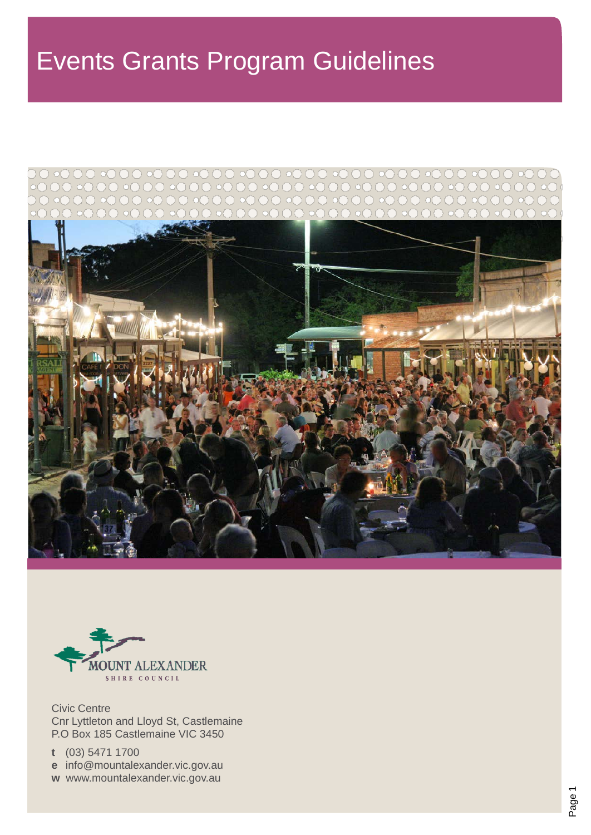# Events Grants Program Guidelines





Civic Centre Cnr Lyttleton and Lloyd St, Castlemaine P.O Box 185 Castlemaine VIC 3450

**t** (03) 5471 1700

**e** [info@mountalexander.vic.gov.au](mailto:info@mountalexander.vic.gov.au)

**w** [www.mountalexander.vic.gov.au](http://www.mountalexander.vic.gov.au/)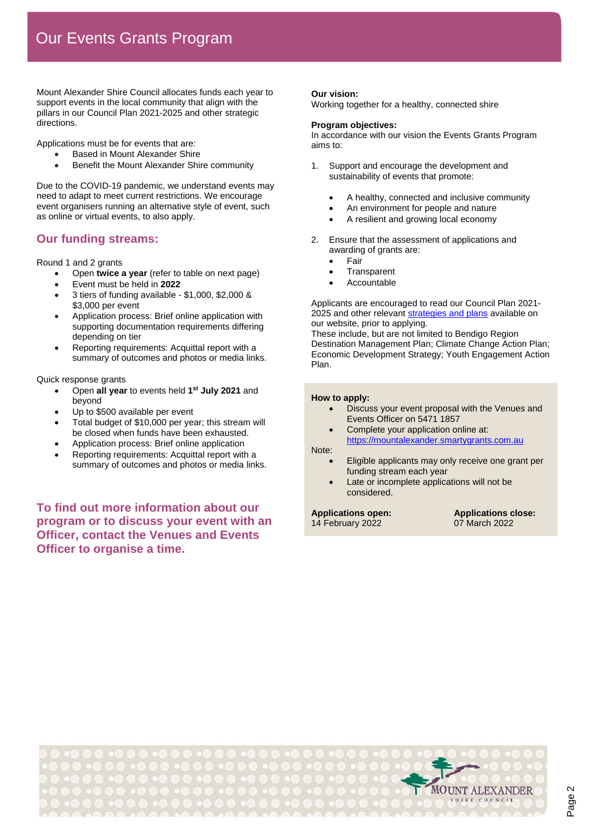Mount Alexander Shire Council allocates funds each year to support events in the local community that align with the pillars in our Council Plan 2021-2025 and other strategic directions.

Applications must be for events that are:

- Based in Mount Alexander Shire
- Benefit the Mount Alexander Shire community

Due to the COVID-19 pandemic, we understand events may need to adapt to meet current restrictions. We encourage event organisers running an alternative style of event, such as online or virtual events, to also apply.

#### **Our funding streams:**

Round 1 and 2 grants

- Open **twice a year** (refer to table on next page)
- Event must be held in **2022**
- 3 tiers of funding available \$1,000, \$2,000 & \$3,000 per event
- Application process: Brief online application with supporting documentation requirements differing depending on tier
- Reporting requirements: Acquittal report with a summary of outcomes and photos or media links.

Quick response grants

- Open **all year** to events held **1st July 2021** and beyond
- Up to \$500 available per event
- Total budget of \$10,000 per year; this stream will be closed when funds have been exhausted.
- Application process: Brief online application
- Reporting requirements: Acquittal report with a summary of outcomes and photos or media links.

**To find out more information about our program or to discuss your event with an Officer, contact the Venues and Events Officer to organise a time.**

#### **Our vision:**

Working together for a healthy, connected shire

#### **Program objectives:**

In accordance with our vision the Events Grants Program aims to:

- 1. Support and encourage the development and sustainability of events that promote:
	- A healthy, connected and inclusive community
	- An environment for people and nature
	- A resilient and growing local economy
- 2. Ensure that the assessment of applications and awarding of grants are:
	- **Fair**
	- **Transparent**
	- **Accountable**

Applicants are encouraged to read our Council Plan 2021 2025 and other relevant [strategies and plans](https://www.mountalexander.vic.gov.au/Page/Page.aspx?Page_Id=766) available on our website, prior to applying.

These include, but are not limited to Bendigo Region Destination Management Plan; Climate Change Action Plan; Economic Development Strategy; Youth Engagement Action Plan.

#### **How to apply:**

- Discuss your event proposal with the Venues and Events Officer on 5471 1857
- Complete your application online at: [https://mountalexander.smartygrants.com.au](https://mountalexander.smartygrants.com.au/)

#### Note:

- Eligible applicants may only receive one grant per funding stream each year
- Late or incomplete applications will not be considered.

14 February 2022

**Applications open: Applications close:**

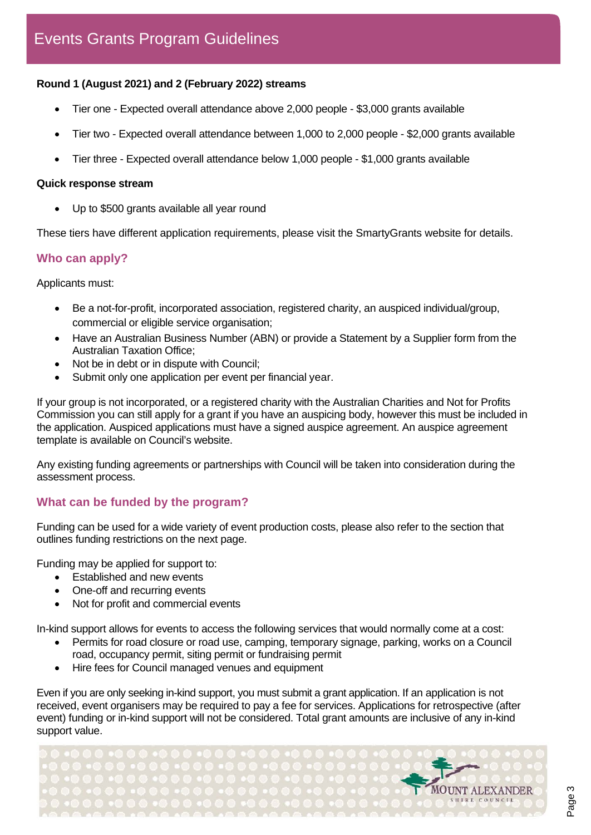### **Round 1 (August 2021) and 2 (February 2022) streams**

- Tier one Expected overall attendance above 2,000 people \$3,000 grants available
- Tier two Expected overall attendance between 1,000 to 2,000 people \$2,000 grants available
- Tier three Expected overall attendance below 1,000 people \$1,000 grants available

#### **Quick response stream**

• Up to \$500 grants available all year round

These tiers have different application requirements, please visit the SmartyGrants website for details.

#### **Who can apply?**

Applicants must:

- Be a not-for-profit, incorporated association, registered charity, an auspiced individual/group, commercial or eligible service organisation;
- Have an Australian Business Number (ABN) or provide a Statement by a Supplier form from the Australian Taxation Office;
- Not be in debt or in dispute with Council:
- Submit only one application per event per financial year.

If your group is not incorporated, or a registered charity with the Australian Charities and Not for Profits Commission you can still apply for a grant if you have an auspicing body, however this must be included in the application. Auspiced applications must have a signed auspice agreement. An auspice agreement template is available on Council's website.

Any existing funding agreements or partnerships with Council will be taken into consideration during the assessment process.

### **What can be funded by the program?**

Funding can be used for a wide variety of event production costs, please also refer to the section that outlines funding restrictions on the next page.

Funding may be applied for support to:

- Established and new events
- One-off and recurring events
- Not for profit and commercial events

In-kind support allows for events to access the following services that would normally come at a cost:

- Permits for road closure or road use, camping, temporary signage, parking, works on a Council road, occupancy permit, siting permit or fundraising permit
- Hire fees for Council managed venues and equipment

Even if you are only seeking in-kind support, you must submit a grant application. If an application is not received, event organisers may be required to pay a fee for services. Applications for retrospective (after event) funding or in-kind support will not be considered. Total grant amounts are inclusive of any in-kind support value.

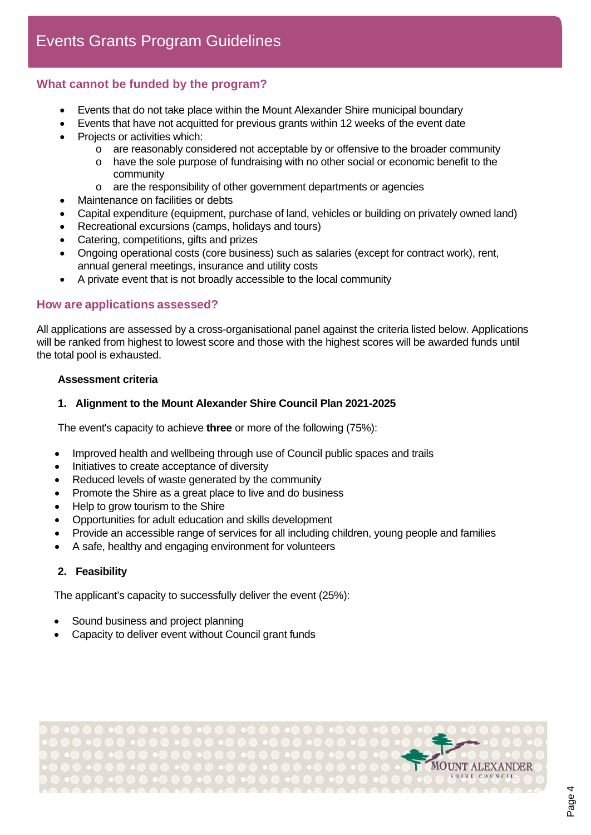## **What cannot be funded by the program?**

- Events that do not take place within the Mount Alexander Shire municipal boundary
- Events that have not acquitted for previous grants within 12 weeks of the event date
- Projects or activities which:
	- $\circ$  are reasonably considered not acceptable by or offensive to the broader community
	- o have the sole purpose of fundraising with no other social or economic benefit to the community
	- o are the responsibility of other government departments or agencies
- Maintenance on facilities or debts
- Capital expenditure (equipment, purchase of land, vehicles or building on privately owned land)
- Recreational excursions (camps, holidays and tours)
- Catering, competitions, gifts and prizes
- Ongoing operational costs (core business) such as salaries (except for contract work), rent, annual general meetings, insurance and utility costs
- A private event that is not broadly accessible to the local community

#### **How are applications assessed?**

All applications are assessed by a cross-organisational panel against the criteria listed below. Applications will be ranked from highest to lowest score and those with the highest scores will be awarded funds until the total pool is exhausted.

#### **Assessment criteria**

#### **1. Alignment to the Mount Alexander Shire Council Plan 2021-2025**

The event's capacity to achieve **three** or more of the following (75%):

- Improved health and wellbeing through use of Council public spaces and trails
- Initiatives to create acceptance of diversity
- Reduced levels of waste generated by the community
- Promote the Shire as a great place to live and do business
- Help to grow tourism to the Shire
- Opportunities for adult education and skills development
- Provide an accessible range of services for all including children, young people and families
- A safe, healthy and engaging environment for volunteers

#### **2. Feasibility**

The applicant's capacity to successfully deliver the event (25%):

- Sound business and project planning
- Capacity to deliver event without Council grant funds

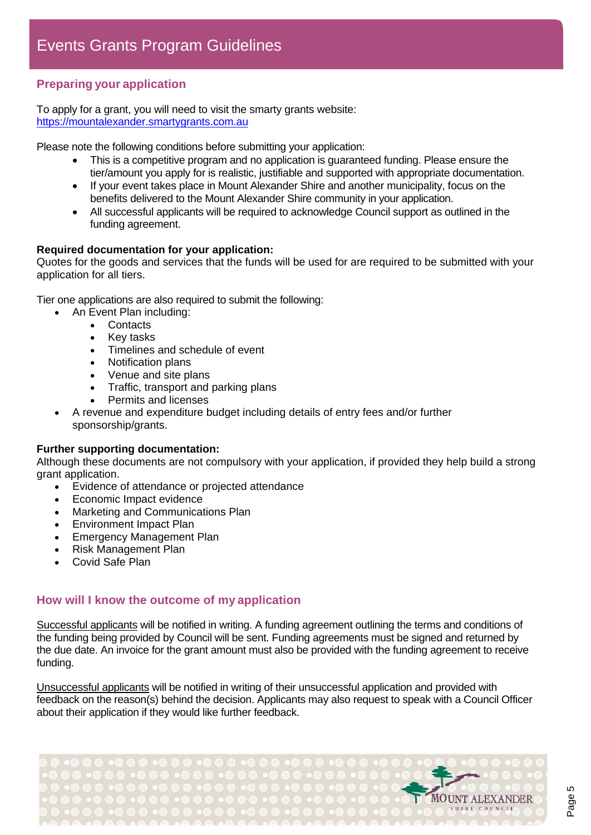# **Preparing your application**

To apply for a grant, you will need to visit the smarty grants website: [https://mountalexander.smartygrants.com.au](https://mountalexander.smartygrants.com.au/)

Please note the following conditions before submitting your application:

- This is a competitive program and no application is guaranteed funding. Please ensure the tier/amount you apply for is realistic, justifiable and supported with appropriate documentation.
- If your event takes place in Mount Alexander Shire and another municipality, focus on the benefits delivered to the Mount Alexander Shire community in your application.
- All successful applicants will be required to acknowledge Council support as outlined in the funding agreement.

#### **Required documentation for your application:**

Quotes for the goods and services that the funds will be used for are required to be submitted with your application for all tiers.

Tier one applications are also required to submit the following:

- An Event Plan including:
	- Contacts
		- Key tasks
		- Timelines and schedule of event<br>• Notification plans
		- Notification plans
		- Venue and site plans
		- Traffic, transport and parking plans
		- Permits and licenses
	- A revenue and expenditure budget including details of entry fees and/or further sponsorship/grants.

#### **Further supporting documentation:**

Although these documents are not compulsory with your application, if provided they help build a strong grant application.

- Evidence of attendance or projected attendance
- Economic Impact evidence
- Marketing and Communications Plan
- Environment Impact Plan
- Emergency Management Plan
- Risk Management Plan
- Covid Safe Plan

### **How will I know the outcome of my application**

Successful applicants will be notified in writing. A funding agreement outlining the terms and conditions of the funding being provided by Council will be sent. Funding agreements must be signed and returned by the due date. An invoice for the grant amount must also be provided with the funding agreement to receive funding.

Unsuccessful applicants will be notified in writing of their unsuccessful application and provided with feedback on the reason(s) behind the decision. Applicants may also request to speak with a Council Officer about their application if they would like further feedback.